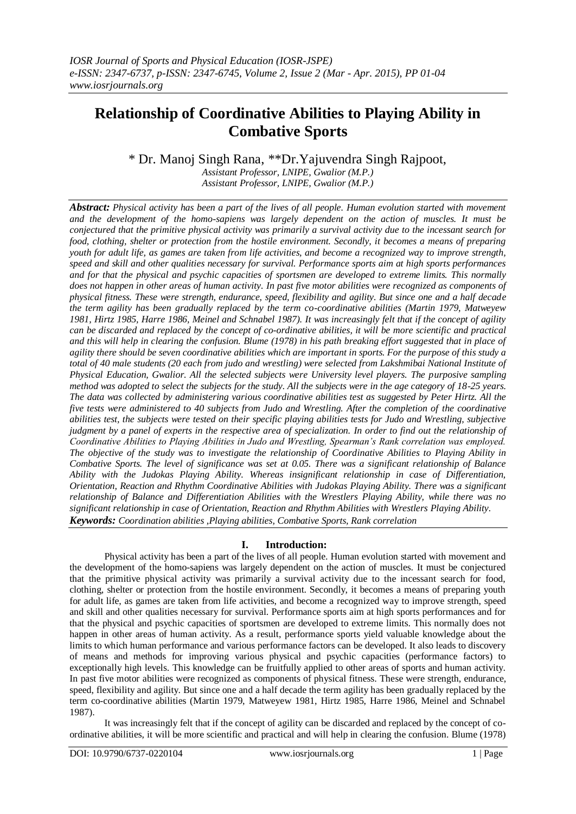# **Relationship of Coordinative Abilities to Playing Ability in Combative Sports**

\* Dr. Manoj Singh Rana, \*\*Dr.Yajuvendra Singh Rajpoot, *Assistant Professor, LNIPE, Gwalior (M.P.) Assistant Professor, LNIPE, Gwalior (M.P.)*

*Abstract: Physical activity has been a part of the lives of all people. Human evolution started with movement and the development of the homo-sapiens was largely dependent on the action of muscles. It must be conjectured that the primitive physical activity was primarily a survival activity due to the incessant search for food, clothing, shelter or protection from the hostile environment. Secondly, it becomes a means of preparing youth for adult life, as games are taken from life activities, and become a recognized way to improve strength, speed and skill and other qualities necessary for survival. Performance sports aim at high sports performances and for that the physical and psychic capacities of sportsmen are developed to extreme limits. This normally does not happen in other areas of human activity. In past five motor abilities were recognized as components of physical fitness. These were strength, endurance, speed, flexibility and agility. But since one and a half decade the term agility has been gradually replaced by the term co-coordinative abilities (Martin 1979, Matweyew 1981, Hirtz 1985, Harre 1986, Meinel and Schnabel 1987). It was increasingly felt that if the concept of agility can be discarded and replaced by the concept of co-ordinative abilities, it will be more scientific and practical and this will help in clearing the confusion. Blume (1978) in his path breaking effort suggested that in place of agility there should be seven coordinative abilities which are important in sports. For the purpose of this study a total of 40 male students (20 each from judo and wrestling) were selected from Lakshmibai National Institute of Physical Education, Gwalior. All the selected subjects were University level players. The purposive sampling method was adopted to select the subjects for the study. All the subjects were in the age category of 18-25 years. The data was collected by administering various coordinative abilities test as suggested by Peter Hirtz. All the five tests were administered to 40 subjects from Judo and Wrestling. After the completion of the coordinative abilities test, the subjects were tested on their specific playing abilities tests for Judo and Wrestling, subjective judgment by a panel of experts in the respective area of specialization. In order to find out the relationship of Coordinative Abilities to Playing Abilities in Judo and Wrestling, Spearman's Rank correlation was employed. The objective of the study was to investigate the relationship of Coordinative Abilities to Playing Ability in Combative Sports. The level of significance was set at 0.05. There was a significant relationship of Balance Ability with the Judokas Playing Ability. Whereas insignificant relationship in case of Differentiation, Orientation, Reaction and Rhythm Coordinative Abilities with Judokas Playing Ability. There was a significant relationship of Balance and Differentiation Abilities with the Wrestlers Playing Ability, while there was no significant relationship in case of Orientation, Reaction and Rhythm Abilities with Wrestlers Playing Ability. Keywords: Coordination abilities ,Playing abilities, Combative Sports, Rank correlation*

# **I. Introduction:**

Physical activity has been a part of the lives of all people. Human evolution started with movement and the development of the homo-sapiens was largely dependent on the action of muscles. It must be conjectured that the primitive physical activity was primarily a survival activity due to the incessant search for food, clothing, shelter or protection from the hostile environment. Secondly, it becomes a means of preparing youth for adult life, as games are taken from life activities, and become a recognized way to improve strength, speed and skill and other qualities necessary for survival. Performance sports aim at high sports performances and for that the physical and psychic capacities of sportsmen are developed to extreme limits. This normally does not happen in other areas of human activity. As a result, performance sports yield valuable knowledge about the limits to which human performance and various performance factors can be developed. It also leads to discovery of means and methods for improving various physical and psychic capacities (performance factors) to exceptionally high levels. This knowledge can be fruitfully applied to other areas of sports and human activity. In past five motor abilities were recognized as components of physical fitness. These were strength, endurance, speed, flexibility and agility. But since one and a half decade the term agility has been gradually replaced by the term co-coordinative abilities (Martin 1979, Matweyew 1981, Hirtz 1985, Harre 1986, Meinel and Schnabel 1987).

It was increasingly felt that if the concept of agility can be discarded and replaced by the concept of coordinative abilities, it will be more scientific and practical and will help in clearing the confusion. Blume (1978)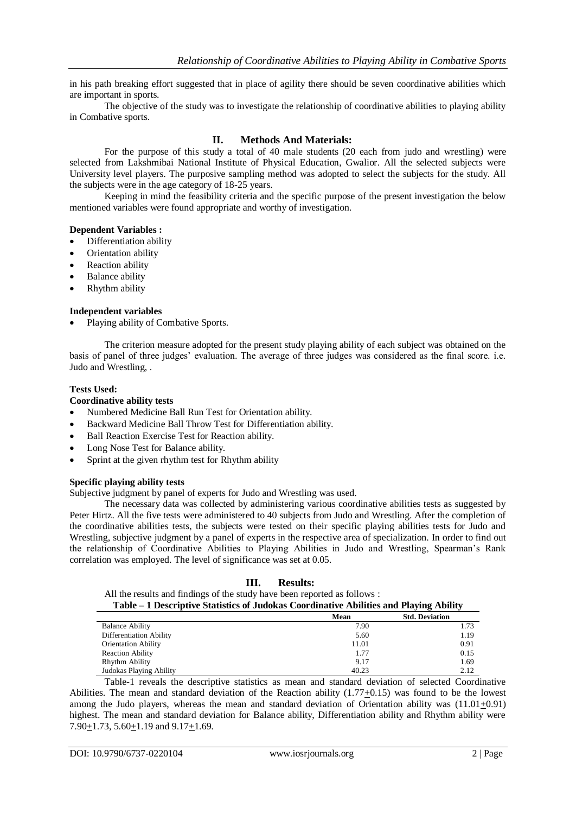in his path breaking effort suggested that in place of agility there should be seven coordinative abilities which are important in sports.

The objective of the study was to investigate the relationship of coordinative abilities to playing ability in Combative sports.

# **II. Methods And Materials:**

For the purpose of this study a total of 40 male students (20 each from judo and wrestling) were selected from Lakshmibai National Institute of Physical Education, Gwalior. All the selected subjects were University level players. The purposive sampling method was adopted to select the subjects for the study. All the subjects were in the age category of 18-25 years.

Keeping in mind the feasibility criteria and the specific purpose of the present investigation the below mentioned variables were found appropriate and worthy of investigation.

### **Dependent Variables :**

- Differentiation ability
- Orientation ability
- Reaction ability
- Balance ability
- Rhythm ability

### **Independent variables**

Playing ability of Combative Sports.

The criterion measure adopted for the present study playing ability of each subject was obtained on the basis of panel of three judges' evaluation. The average of three judges was considered as the final score. i.e. Judo and Wrestling, .

### **Tests Used:**

### **Coordinative ability tests**

- Numbered Medicine Ball Run Test for Orientation ability.
- Backward Medicine Ball Throw Test for Differentiation ability.
- Ball Reaction Exercise Test for Reaction ability.
- Long Nose Test for Balance ability.
- Sprint at the given rhythm test for Rhythm ability

#### **Specific playing ability tests**

Subjective judgment by panel of experts for Judo and Wrestling was used.

The necessary data was collected by administering various coordinative abilities tests as suggested by Peter Hirtz. All the five tests were administered to 40 subjects from Judo and Wrestling. After the completion of the coordinative abilities tests, the subjects were tested on their specific playing abilities tests for Judo and Wrestling, subjective judgment by a panel of experts in the respective area of specialization. In order to find out the relationship of Coordinative Abilities to Playing Abilities in Judo and Wrestling, Spearman's Rank correlation was employed. The level of significance was set at 0.05.

# **III. Results:**

All the results and findings of the study have been reported as follows :

| Table – 1 Descriptive Statistics of Judokas Coordinative Abilities and Playing Ability |       |                       |
|----------------------------------------------------------------------------------------|-------|-----------------------|
|                                                                                        | Mean  | <b>Std. Deviation</b> |
| <b>Balance Ability</b>                                                                 | 7.90  | 1.73                  |
| Differentiation Ability                                                                | 5.60  | 1.19                  |
| <b>Orientation Ability</b>                                                             | 11.01 | 0.91                  |
| <b>Reaction Ability</b>                                                                | 1.77  | 0.15                  |
| Rhythm Ability                                                                         | 9.17  | 1.69                  |
| Judokas Playing Ability                                                                | 40.23 | 2.12                  |

Table-1 reveals the descriptive statistics as mean and standard deviation of selected Coordinative Abilities. The mean and standard deviation of the Reaction ability (1.77+0.15) was found to be the lowest among the Judo players, whereas the mean and standard deviation of Orientation ability was (11.01+0.91) highest. The mean and standard deviation for Balance ability, Differentiation ability and Rhythm ability were 7.90 $\pm$ 1.73, 5.60 $\pm$ 1.19 and 9.17 $\pm$ 1.69.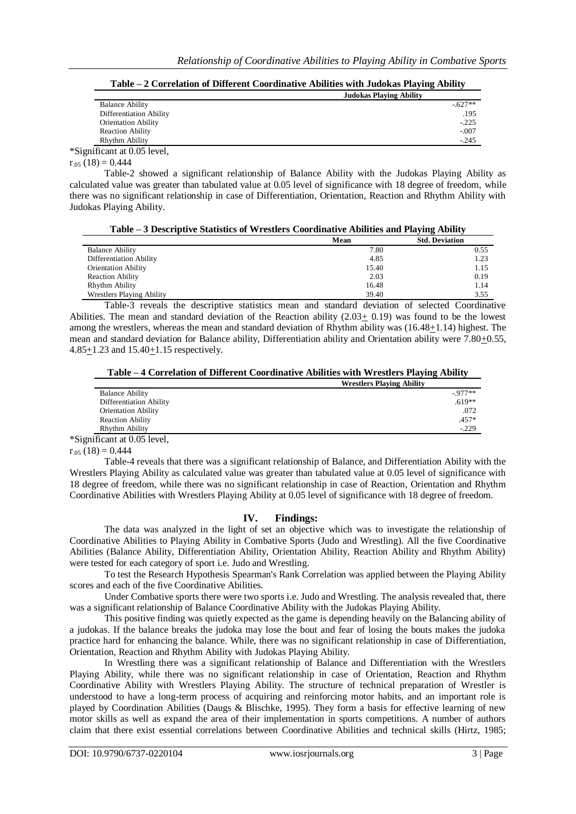**Table – 2 Correlation of Different Coordinative Abilities with Judokas Playing Ability**

|                             | <b>Judokas Playing Ability</b> |  |
|-----------------------------|--------------------------------|--|
| <b>Balance Ability</b>      | $-627**$                       |  |
| Differentiation Ability     | .195                           |  |
| <b>Orientation Ability</b>  | $-225$                         |  |
| <b>Reaction Ability</b>     | $-.007$                        |  |
| Rhythm Ability              | $-245$                         |  |
| *Significant at 0.05 level, |                                |  |

 $r_{.05}$  (18) = 0.444

Table-2 showed a significant relationship of Balance Ability with the Judokas Playing Ability as calculated value was greater than tabulated value at 0.05 level of significance with 18 degree of freedom, while there was no significant relationship in case of Differentiation, Orientation, Reaction and Rhythm Ability with Judokas Playing Ability.

| Table – 3 Descriptive Statistics of Wrestlers Coordinative Abilities and Playing Ability |       |                       |
|------------------------------------------------------------------------------------------|-------|-----------------------|
|                                                                                          | Mean  | <b>Std. Deviation</b> |
| <b>Balance Ability</b>                                                                   | 7.80  | 0.55                  |
| Differentiation Ability                                                                  | 4.85  | 1.23                  |
| <b>Orientation Ability</b>                                                               | 15.40 | 1.15                  |
| <b>Reaction Ability</b>                                                                  | 2.03  | 0.19                  |
| <b>Rhythm Ability</b>                                                                    | 16.48 | 1.14                  |
| <b>Wrestlers Playing Ability</b>                                                         | 39.40 | 3.55                  |

Table-3 reveals the descriptive statistics mean and standard deviation of selected Coordinative Abilities. The mean and standard deviation of the Reaction ability (2.03+ 0.19) was found to be the lowest among the wrestlers, whereas the mean and standard deviation of Rhythm ability was (16.48+1.14) highest. The mean and standard deviation for Balance ability, Differentiation ability and Orientation ability were 7.80+0.55, 4.85+1.23 and 15.40+1.15 respectively.

**Table – 4 Correlation of Different Coordinative Abilities with Wrestlers Playing Ability**

| <b>Wrestlers Playing Ability</b> |  |
|----------------------------------|--|
| $-977**$                         |  |
| $.619**$                         |  |
| .072                             |  |
| .457*                            |  |
| $-229$                           |  |
|                                  |  |

\*Significant at 0.05 level,

 $r_{.05}$  (18) = 0.444

Table-4 reveals that there was a significant relationship of Balance, and Differentiation Ability with the Wrestlers Playing Ability as calculated value was greater than tabulated value at 0.05 level of significance with 18 degree of freedom, while there was no significant relationship in case of Reaction, Orientation and Rhythm Coordinative Abilities with Wrestlers Playing Ability at 0.05 level of significance with 18 degree of freedom.

# **IV. Findings:**

The data was analyzed in the light of set an objective which was to investigate the relationship of Coordinative Abilities to Playing Ability in Combative Sports (Judo and Wrestling). All the five Coordinative Abilities (Balance Ability, Differentiation Ability, Orientation Ability, Reaction Ability and Rhythm Ability) were tested for each category of sport i.e. Judo and Wrestling.

To test the Research Hypothesis Spearman's Rank Correlation was applied between the Playing Ability scores and each of the five Coordinative Abilities.

Under Combative sports there were two sports i.e. Judo and Wrestling. The analysis revealed that, there was a significant relationship of Balance Coordinative Ability with the Judokas Playing Ability.

This positive finding was quietly expected as the game is depending heavily on the Balancing ability of a judokas. If the balance breaks the judoka may lose the bout and fear of losing the bouts makes the judoka practice hard for enhancing the balance. While, there was no significant relationship in case of Differentiation, Orientation, Reaction and Rhythm Ability with Judokas Playing Ability.

In Wrestling there was a significant relationship of Balance and Differentiation with the Wrestlers Playing Ability, while there was no significant relationship in case of Orientation, Reaction and Rhythm Coordinative Ability with Wrestlers Playing Ability. The structure of technical preparation of Wrestler is understood to have a long-term process of acquiring and reinforcing motor habits, and an important role is played by Coordination Abilities (Daugs & Blischke, 1995). They form a basis for effective learning of new motor skills as well as expand the area of their implementation in sports competitions. A number of authors claim that there exist essential correlations between Coordinative Abilities and technical skills (Hirtz, 1985;